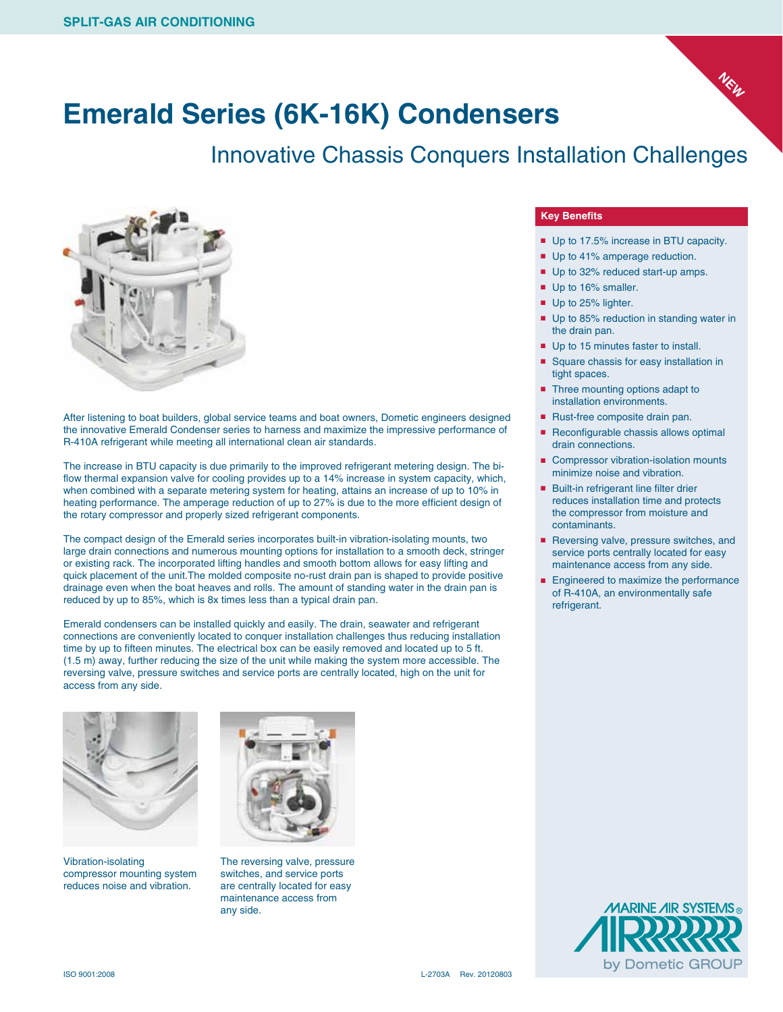

Innovative Chassis Conquers Installation Challenges



After listening to boat builders, global service teams and boat owners, Dometic engineers designed the innovative Emerald Condenser series to harness and maximize the impressive performance of R-410A refrigerant while meeting all international clean air standards.

The increase in BTU capacity is due primarily to the improved refrigerant metering design. The biflow thermal expansion valve for cooling provides up to a 14% increase in system capacity, which, when combined with a separate metering system for heating, attains an increase of up to 10% in heating performance. The amperage reduction of up to 27% is due to the more efficient design of the rotary compressor and properly sized refrigerant components.

The compact design of the Emerald series incorporates built-in vibration-isolating mounts, two large drain connections and numerous mounting options for installation to a smooth deck, stringer or existing rack. The incorporated lifting handles and smooth bottom allows for easy lifting and quick placement of the unit.The molded composite no-rust drain pan is shaped to provide positive drainage even when the boat heaves and rolls. The amount of standing water in the drain pan is reduced by up to 85%, which is 8x times less than a typical drain pan.

Emerald condensers can be installed quickly and easily. The drain, seawater and refrigerant connections are conveniently located to conquer installation challenges thus reducing installation time by up to fifteen minutes. The electrical box can be easily removed and located up to 5 ft. (1.5 m) away, further reducing the size of the unit while making the system more accessible. The reversing valve, pressure switches and service ports are centrally located, high on the unit for access from any side.



Vibration-isolating compressor mounting system reduces noise and vibration.



The reversing valve, pressure switches, and service ports are centrally located for easy maintenance access from any side.

## **Key Benefits**

■ Up to 17.5% increase in BTU capacity.

**NEW**

- Up to 41% amperage reduction.
- Up to 32% reduced start-up amps.
- Up to 16% smaller.
- Up to 25% lighter.
- Up to 85% reduction in standing water in the drain pan.
- Up to 15 minutes faster to install.
- Square chassis for easy installation in tight spaces.
- Three mounting options adapt to installation environments.
- Rust-free composite drain pan.
- Reconfigurable chassis allows optimal drain connections.
- Compressor vibration-isolation mounts minimize noise and vibration.
- Built-in refrigerant line filter drier reduces installation time and protects the compressor from moisture and contaminants.
- Reversing valve, pressure switches, and service ports centrally located for easy maintenance access from any side.
- Engineered to maximize the performance of R-410A, an environmentally safe refrigerant.